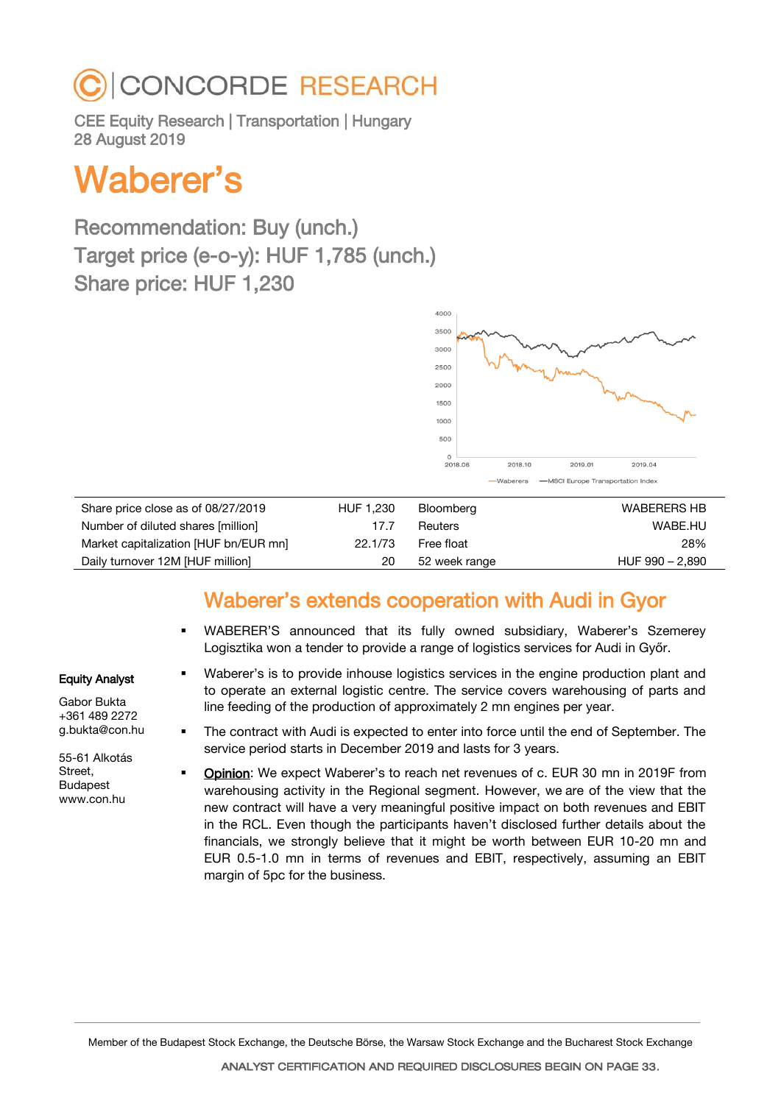#### Member of the Budapest Stock Exchange, the Deutsche Börse, the Warsaw Stock Exchange and the Bucharest Stock Exchange

## **CONCORDE RESEARCH**

CEE Equity Research | Transportation | Hungary 28 August 2019

# Waberer's

Recommendation: Buy (unch.) Target price (e-o-y): HUF 1,785 (unch.) Share price: HUF 1,230

Share price close as of 08/27/2019 HUF 1,230 Bloomberg WABERERS HB Number of diluted shares [million] 17.7 Reuters WABE.HU Market capitalization [HUF bn/EUR mn] 22.1/73 Free float 28% 28% Daily turnover 12M [HUF million] 20 52 week range HUF 990 – 2,890

line feeding of the production of approximately 2 mn engines per year.

service period starts in December 2019 and lasts for 3 years.

### Waberer's extends cooperation with Audi in Gyor

 WABERER'S announced that its fully owned subsidiary, Waberer's Szemerey Logisztika won a tender to provide a range of logistics services for Audi in Győr.

 Waberer's is to provide inhouse logistics services in the engine production plant and to operate an external logistic centre. The service covers warehousing of parts and

The contract with Audi is expected to enter into force until the end of September. The

#### Equity Analyst

Gabor Bukta +361 489 2272 g.bukta@con.hu

55-61 Alkotás Street, Budapest www.con.hu

 Opinion: We expect Waberer's to reach net revenues of c. EUR 30 mn in 2019F from warehousing activity in the Regional segment. However, we are of the view that the new contract will have a very meaningful positive impact on both revenues and EBIT in the RCL. Even though the participants haven't disclosed further details about the financials, we strongly believe that it might be worth between EUR 10-20 mn and EUR 0.5-1.0 mn in terms of revenues and EBIT, respectively, assuming an EBIT margin of 5pc for the business.

4000 3500 300 2500  $2000$ 1500 1000 500 2018.06 2018.10 2019.01 2019.04

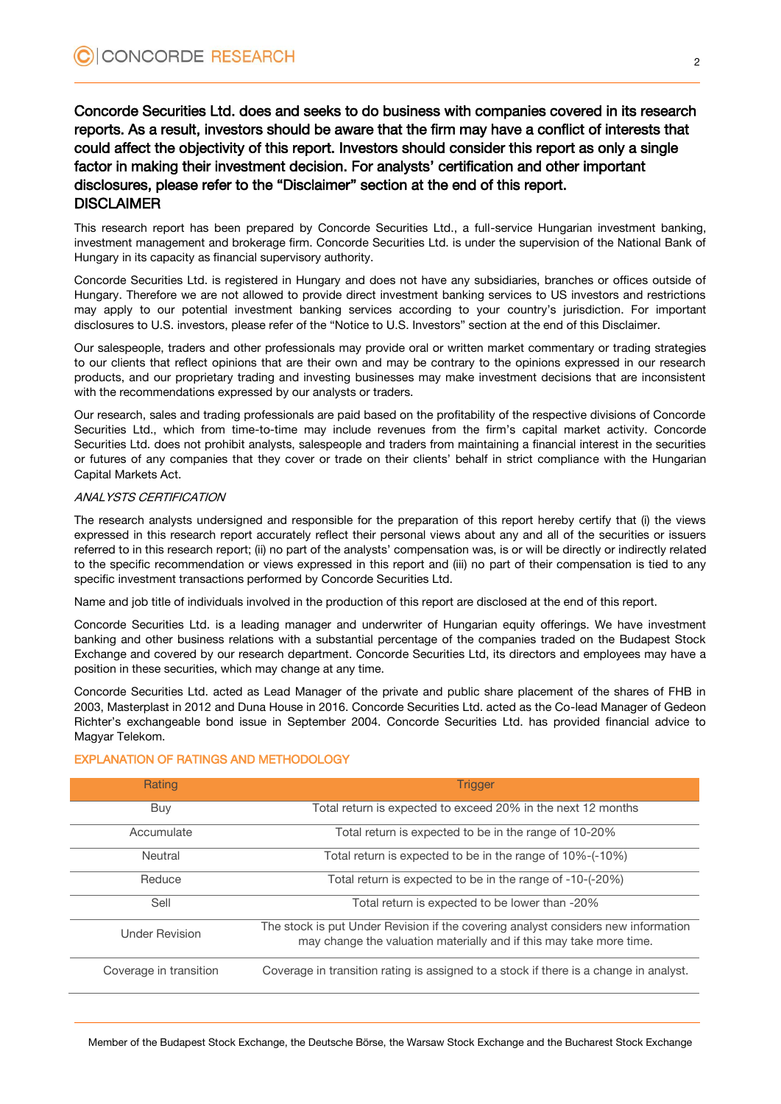#### Concorde Securities Ltd. does and seeks to do business with companies covered in its research reports. As a result, investors should be aware that the firm may have a conflict of interests that could affect the objectivity of this report. Investors should consider this report as only a single factor in making their investment decision. For analysts' certification and other important disclosures, please refer to the "Disclaimer" section at the end of this report. **DISCLAIMER**

This research report has been prepared by Concorde Securities Ltd., a full-service Hungarian investment banking, investment management and brokerage firm. Concorde Securities Ltd. is under the supervision of the National Bank of Hungary in its capacity as financial supervisory authority.

Concorde Securities Ltd. is registered in Hungary and does not have any subsidiaries, branches or offices outside of Hungary. Therefore we are not allowed to provide direct investment banking services to US investors and restrictions may apply to our potential investment banking services according to your country's jurisdiction. For important disclosures to U.S. investors, please refer of the "Notice to U.S. Investors" section at the end of this Disclaimer.

Our salespeople, traders and other professionals may provide oral or written market commentary or trading strategies to our clients that reflect opinions that are their own and may be contrary to the opinions expressed in our research products, and our proprietary trading and investing businesses may make investment decisions that are inconsistent with the recommendations expressed by our analysts or traders.

Our research, sales and trading professionals are paid based on the profitability of the respective divisions of Concorde Securities Ltd., which from time-to-time may include revenues from the firm's capital market activity. Concorde Securities Ltd. does not prohibit analysts, salespeople and traders from maintaining a financial interest in the securities or futures of any companies that they cover or trade on their clients' behalf in strict compliance with the Hungarian Capital Markets Act.

#### ANALYSTS CERTIFICATION

The research analysts undersigned and responsible for the preparation of this report hereby certify that (i) the views expressed in this research report accurately reflect their personal views about any and all of the securities or issuers referred to in this research report; (ii) no part of the analysts' compensation was, is or will be directly or indirectly related to the specific recommendation or views expressed in this report and (iii) no part of their compensation is tied to any specific investment transactions performed by Concorde Securities Ltd.

Name and job title of individuals involved in the production of this report are disclosed at the end of this report.

Concorde Securities Ltd. is a leading manager and underwriter of Hungarian equity offerings. We have investment banking and other business relations with a substantial percentage of the companies traded on the Budapest Stock Exchange and covered by our research department. Concorde Securities Ltd, its directors and employees may have a position in these securities, which may change at any time.

Concorde Securities Ltd. acted as Lead Manager of the private and public share placement of the shares of FHB in 2003, Masterplast in 2012 and Duna House in 2016. Concorde Securities Ltd. acted as the Co-lead Manager of Gedeon Richter's exchangeable bond issue in September 2004. Concorde Securities Ltd. has provided financial advice to Magyar Telekom.

| Rating                 | <b>Trigger</b>                                                                                                                                           |
|------------------------|----------------------------------------------------------------------------------------------------------------------------------------------------------|
| Buy                    | Total return is expected to exceed 20% in the next 12 months                                                                                             |
| Accumulate             | Total return is expected to be in the range of 10-20%                                                                                                    |
| Neutral                | Total return is expected to be in the range of 10%-(-10%)                                                                                                |
| Reduce                 | Total return is expected to be in the range of -10-(-20%)                                                                                                |
| Sell                   | Total return is expected to be lower than -20%                                                                                                           |
| <b>Under Revision</b>  | The stock is put Under Revision if the covering analyst considers new information<br>may change the valuation materially and if this may take more time. |
| Coverage in transition | Coverage in transition rating is assigned to a stock if there is a change in analyst.                                                                    |

#### EXPLANATION OF RATINGS AND METHODOLOGY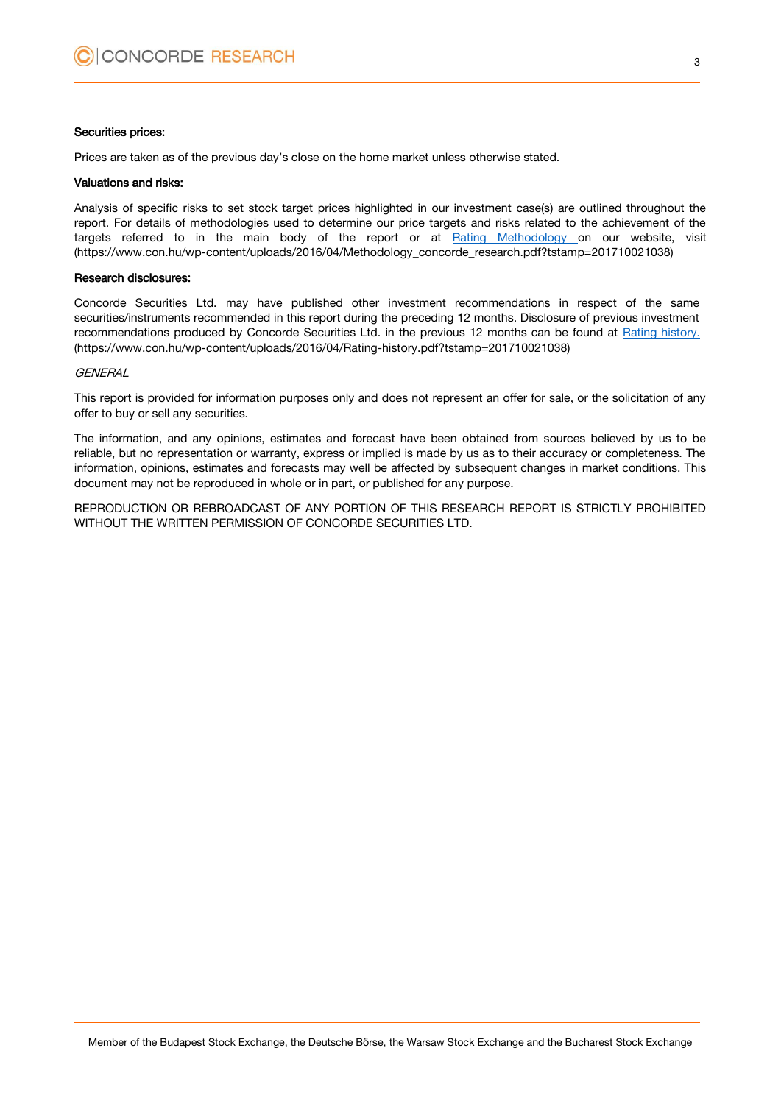#### Securities prices:

Prices are taken as of the previous day's close on the home market unless otherwise stated.

#### Valuations and risks:

Analysis of specific risks to set stock target prices highlighted in our investment case(s) are outlined throughout the report. For details of methodologies used to determine our price targets and risks related to the achievement of the targets referred to in the main body of the report or at [Rating Methodology](https://www.con.hu/wp-content/uploads/2016/04/Methodology_concorde_research.pdf?tstamp=201710021038) on our website, visit (https://www.con.hu/wp-content/uploads/2016/04/Methodology\_concorde\_research.pdf?tstamp=201710021038)

#### Research disclosures:

Concorde Securities Ltd. may have published other investment recommendations in respect of the same securities/instruments recommended in this report during the preceding 12 months. Disclosure of previous investment recommendations produced by Concorde Securities Ltd. in the previous 12 months can be found at [Rating history.](https://www.con.hu/wp-content/uploads/2016/04/Rating-history.pdf?tstamp=201710021038) (https://www.con.hu/wp-content/uploads/2016/04/Rating-history.pdf?tstamp=201710021038)

#### **GENERAL**

This report is provided for information purposes only and does not represent an offer for sale, or the solicitation of any offer to buy or sell any securities.

The information, and any opinions, estimates and forecast have been obtained from sources believed by us to be reliable, but no representation or warranty, express or implied is made by us as to their accuracy or completeness. The information, opinions, estimates and forecasts may well be affected by subsequent changes in market conditions. This document may not be reproduced in whole or in part, or published for any purpose.

REPRODUCTION OR REBROADCAST OF ANY PORTION OF THIS RESEARCH REPORT IS STRICTLY PROHIBITED WITHOUT THE WRITTEN PERMISSION OF CONCORDE SECURITIES LTD.